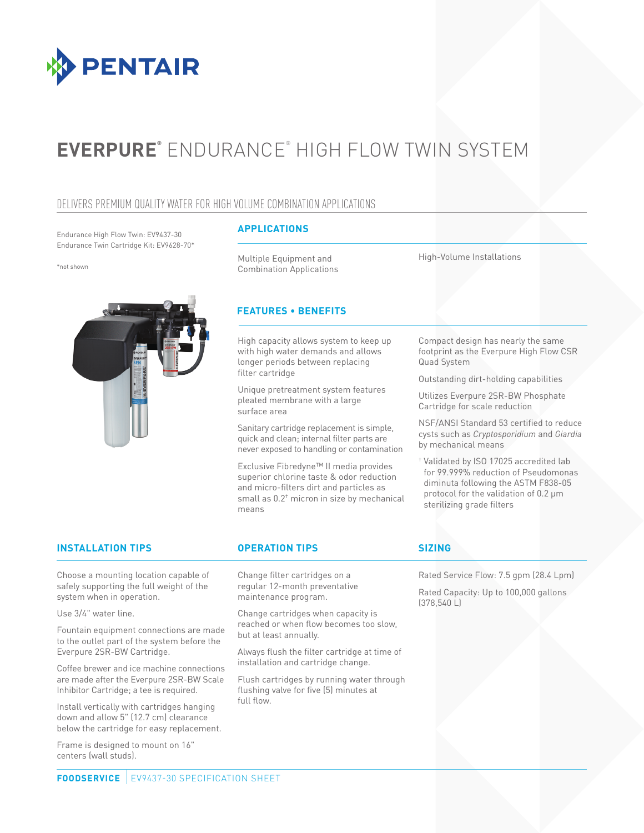

# **EVERPURE®** ENDURANCE® HIGH FLOW TWIN SYSTEM

## DELIVERS PREMIUM QUALITY WATER FOR HIGH VOLUME COMBINATION APPLICATIONS

Endurance High Flow Twin: EV9437-30 Endurance Twin Cartridge Kit: EV9628-70\*

\*not shown



## **APPLICATIONS**

Multiple Equipment and Combination Applications High-Volume Installations

## **FEATURES • BENEFITS**

High capacity allows system to keep up with high water demands and allows longer periods between replacing filter cartridge

Unique pretreatment system features pleated membrane with a large surface area

Sanitary cartridge replacement is simple, quick and clean; internal filter parts are never exposed to handling or contamination

Exclusive Fibredyne™ II media provides superior chlorine taste & odor reduction and micro-filters dirt and particles as small as 0.2† micron in size by mechanical means

Compact design has nearly the same footprint as the Everpure High Flow CSR Quad System

Outstanding dirt-holding capabilities

Utilizes Everpure 2SR-BW Phosphate Cartridge for scale reduction

NSF/ANSI Standard 53 certified to reduce cysts such as *Cryptosporidium* and *Giardia*  by mechanical means

† Validated by ISO 17025 accredited lab for 99.999% reduction of Pseudomonas diminuta following the ASTM F838-05 protocol for the validation of 0.2 μm sterilizing grade filters

## **INSTALLATION TIPS OPERATION TIPS SIZING**

Choose a mounting location capable of safely supporting the full weight of the system when in operation.

Use 3/4" water line.

Fountain equipment connections are made to the outlet part of the system before the Everpure 2SR-BW Cartridge.

Coffee brewer and ice machine connections are made after the Everpure 2SR-BW Scale Inhibitor Cartridge; a tee is required.

Install vertically with cartridges hanging down and allow 5" (12.7 cm) clearance below the cartridge for easy replacement.

Frame is designed to mount on 16" centers (wall studs).

Change filter cartridges on a regular 12-month preventative maintenance program.

Change cartridges when capacity is reached or when flow becomes too slow, but at least annually.

Always flush the filter cartridge at time of installation and cartridge change.

Flush cartridges by running water through flushing valve for five (5) minutes at full flow.

Rated Service Flow: 7.5 gpm (28.4 Lpm)

Rated Capacity: Up to 100,000 gallons (378,540 L)